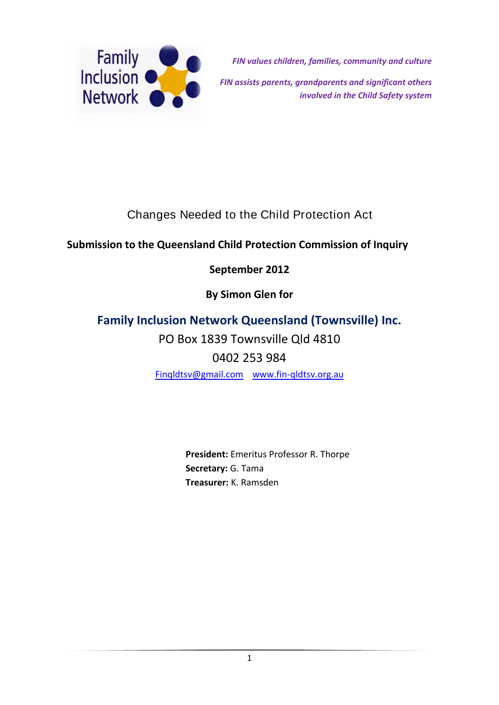

*FIN values children, families, community and culture FIN assists parents, grandparents and significant others involved in the Child Safety system*

# Changes Needed to the Child Protection Act

## **Submission to the Queensland Child Protection Commission of Inquiry**

## **September 2012**

**By Simon Glen for**

# **Family Inclusion Network Queensland (Townsville) Inc.**

PO Box 1839 Townsville Qld 4810

0402 253 984

[Finqldtsv@gmail.com](mailto:Finqldtsv@gmail.com) [www.fin-qldtsv.org.au](http://www.fin-qldtsv.org.au/)

**President:** Emeritus Professor R. Thorpe **Secretary:** G. Tama **Treasurer:** K. Ramsden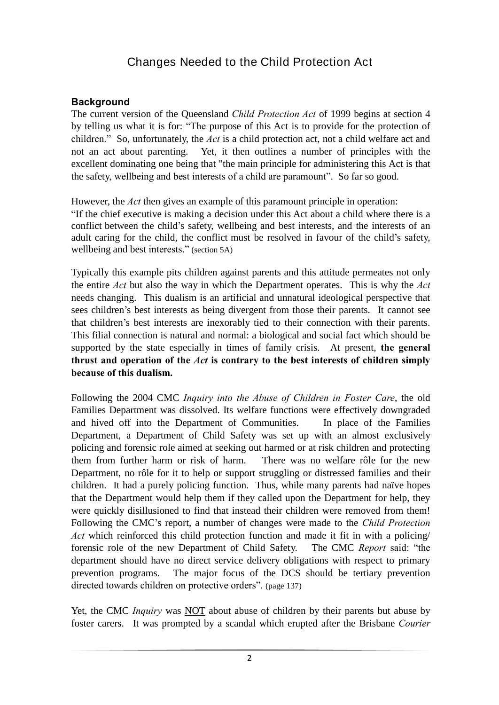## Changes Needed to the Child Protection Act

### **Background**

The current version of the Queensland *Child Protection Act* of 1999 begins at section 4 by telling us what it is for: "The purpose of this Act is to provide for the protection of children." So, unfortunately, the *Act* is a child protection act, not a child welfare act and not an act about parenting. Yet, it then outlines a number of principles with the excellent dominating one being that "the main principle for administering this Act is that the safety, wellbeing and best interests of a child are paramount". So far so good.

However, the *Act* then gives an example of this paramount principle in operation:

"If the chief executive is making a decision under this Act about a child where there is a conflict between the child's safety, wellbeing and best interests, and the interests of an adult caring for the child, the conflict must be resolved in favour of the child's safety, wellbeing and best interests." (section 5A)

Typically this example pits children against parents and this attitude permeates not only the entire *Act* but also the way in which the Department operates. This is why the *Act*  needs changing. This dualism is an artificial and unnatural ideological perspective that sees children's best interests as being divergent from those their parents. It cannot see that children's best interests are inexorably tied to their connection with their parents. This filial connection is natural and normal: a biological and social fact which should be supported by the state especially in times of family crisis. At present, **the general thrust and operation of the** *Act* **is contrary to the best interests of children simply because of this dualism.**

Following the 2004 CMC *Inquiry into the Abuse of Children in Foster Care*, the old Families Department was dissolved. Its welfare functions were effectively downgraded and hived off into the Department of Communities. In place of the Families Department, a Department of Child Safety was set up with an almost exclusively policing and forensic role aimed at seeking out harmed or at risk children and protecting them from further harm or risk of harm. There was no welfare rôle for the new Department, no rôle for it to help or support struggling or distressed families and their children. It had a purely policing function. Thus, while many parents had naïve hopes that the Department would help them if they called upon the Department for help, they were quickly disillusioned to find that instead their children were removed from them! Following the CMC's report, a number of changes were made to the *Child Protection Act* which reinforced this child protection function and made it fit in with a policing/ forensic role of the new Department of Child Safety. The CMC *Report* said: "the department should have no direct service delivery obligations with respect to primary prevention programs. The major focus of the DCS should be tertiary prevention directed towards children on protective orders". (page 137)

Yet, the CMC *Inquiry* was NOT about abuse of children by their parents but abuse by foster carers. It was prompted by a scandal which erupted after the Brisbane *Courier*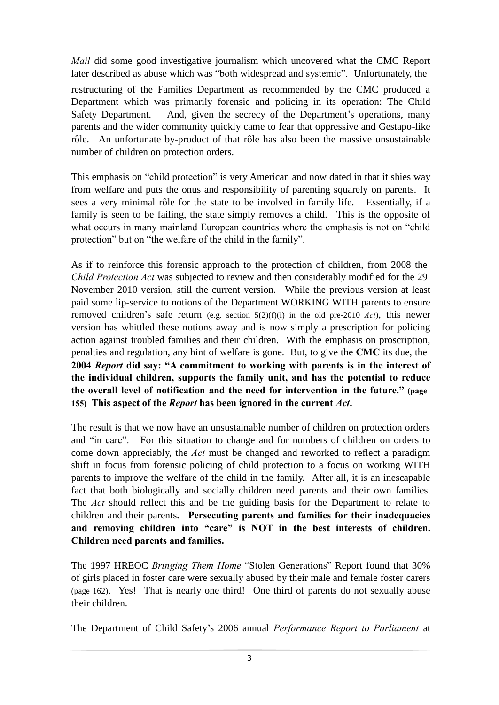*Mail* did some good investigative journalism which uncovered what the CMC Report later described as abuse which was "both widespread and systemic". Unfortunately, the

restructuring of the Families Department as recommended by the CMC produced a Department which was primarily forensic and policing in its operation: The Child Safety Department. And, given the secrecy of the Department's operations, many parents and the wider community quickly came to fear that oppressive and Gestapo-like rôle. An unfortunate by-product of that rôle has also been the massive unsustainable number of children on protection orders.

This emphasis on "child protection" is very American and now dated in that it shies way from welfare and puts the onus and responsibility of parenting squarely on parents. It sees a very minimal rôle for the state to be involved in family life. Essentially, if a family is seen to be failing, the state simply removes a child. This is the opposite of what occurs in many mainland European countries where the emphasis is not on "child" protection" but on "the welfare of the child in the family".

As if to reinforce this forensic approach to the protection of children, from 2008 the *Child Protection Act* was subjected to review and then considerably modified for the 29 November 2010 version, still the current version. While the previous version at least paid some lip-service to notions of the Department WORKING WITH parents to ensure removed children's safe return (e.g. section 5(2)(f)(i) in the old pre-2010 *Act*), this newer version has whittled these notions away and is now simply a prescription for policing action against troubled families and their children. With the emphasis on proscription, penalties and regulation, any hint of welfare is gone. But, to give the **CMC** its due, the **2004** *Report* **did say: "A commitment to working with parents is in the interest of the individual children, supports the family unit, and has the potential to reduce the overall level of notification and the need for intervention in the future." (page 155) This aspect of the** *Report* **has been ignored in the current** *Act***.**

The result is that we now have an unsustainable number of children on protection orders and "in care". For this situation to change and for numbers of children on orders to come down appreciably, the *Act* must be changed and reworked to reflect a paradigm shift in focus from forensic policing of child protection to a focus on working WITH parents to improve the welfare of the child in the family. After all, it is an inescapable fact that both biologically and socially children need parents and their own families. The *Act* should reflect this and be the guiding basis for the Department to relate to children and their parents**. Persecuting parents and families for their inadequacies and removing children into "care" is NOT in the best interests of children. Children need parents and families.**

The 1997 HREOC *Bringing Them Home* "Stolen Generations" Report found that 30% of girls placed in foster care were sexually abused by their male and female foster carers (page 162). Yes! That is nearly one third! One third of parents do not sexually abuse their children.

The Department of Child Safety's 2006 annual *Performance Report to Parliament* at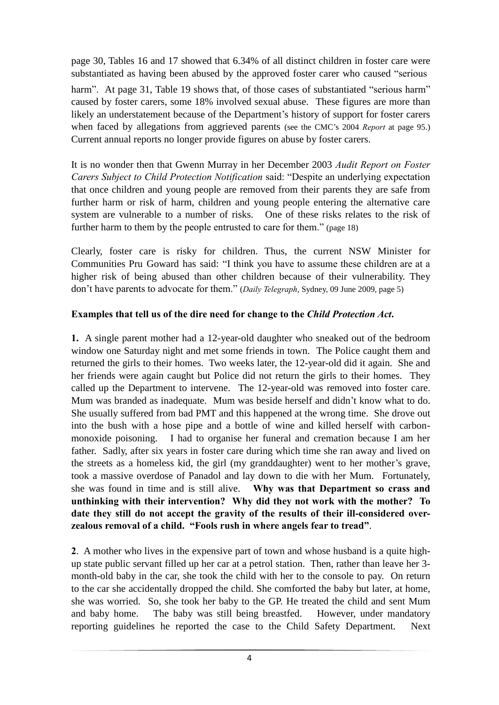page 30, Tables 16 and 17 showed that 6.34% of all distinct children in foster care were substantiated as having been abused by the approved foster carer who caused "serious

harm". At page 31, Table 19 shows that, of those cases of substantiated "serious harm" caused by foster carers, some 18% involved sexual abuse. These figures are more than likely an understatement because of the Department's history of support for foster carers when faced by allegations from aggrieved parents (see the CMC's 2004 *Report* at page 95.) Current annual reports no longer provide figures on abuse by foster carers.

It is no wonder then that Gwenn Murray in her December 2003 *Audit Report on Foster Carers Subject to Child Protection Notification* said: "Despite an underlying expectation that once children and young people are removed from their parents they are safe from further harm or risk of harm, children and young people entering the alternative care system are vulnerable to a number of risks. One of these risks relates to the risk of further harm to them by the people entrusted to care for them." (page 18)

Clearly, foster care is risky for children. Thus, the current NSW Minister for Communities Pru Goward has said: "I think you have to assume these children are at a higher risk of being abused than other children because of their vulnerability. They don't have parents to advocate for them." (*Daily Telegraph*, Sydney, 09 June 2009, page 5)

## **Examples that tell us of the dire need for change to the** *Child Protection Act***.**

**1.** A single parent mother had a 12-year-old daughter who sneaked out of the bedroom window one Saturday night and met some friends in town. The Police caught them and returned the girls to their homes. Two weeks later, the 12-year-old did it again. She and her friends were again caught but Police did not return the girls to their homes. They called up the Department to intervene. The 12-year-old was removed into foster care. Mum was branded as inadequate. Mum was beside herself and didn't know what to do. She usually suffered from bad PMT and this happened at the wrong time. She drove out into the bush with a hose pipe and a bottle of wine and killed herself with carbonmonoxide poisoning. I had to organise her funeral and cremation because I am her father. Sadly, after six years in foster care during which time she ran away and lived on the streets as a homeless kid, the girl (my granddaughter) went to her mother's grave, took a massive overdose of Panadol and lay down to die with her Mum. Fortunately, she was found in time and is still alive. **Why was that Department so crass and unthinking with their intervention? Why did they not work with the mother? To date they still do not accept the gravity of the results of their ill-considered overzealous removal of a child. "Fools rush in where angels fear to tread"**.

**2**. A mother who lives in the expensive part of town and whose husband is a quite highup state public servant filled up her car at a petrol station. Then, rather than leave her 3 month-old baby in the car, she took the child with her to the console to pay. On return to the car she accidentally dropped the child. She comforted the baby but later, at home, she was worried. So, she took her baby to the GP. He treated the child and sent Mum and baby home. The baby was still being breastfed. However, under mandatory reporting guidelines he reported the case to the Child Safety Department. Next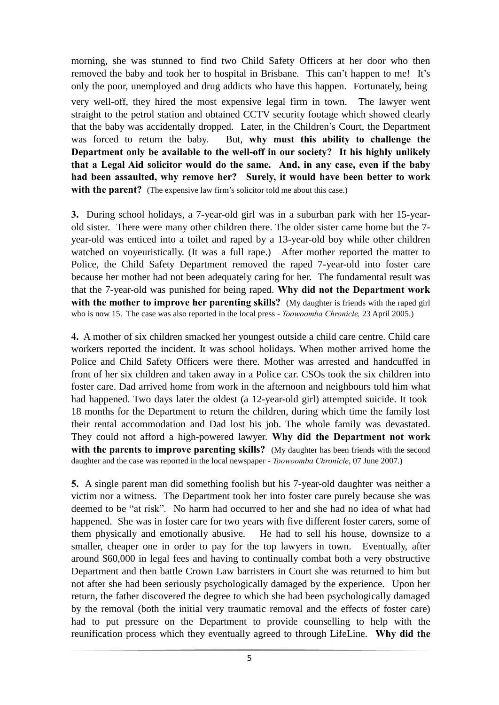morning, she was stunned to find two Child Safety Officers at her door who then removed the baby and took her to hospital in Brisbane. This can't happen to me! It's only the poor, unemployed and drug addicts who have this happen. Fortunately, being

very well-off, they hired the most expensive legal firm in town. The lawyer went straight to the petrol station and obtained CCTV security footage which showed clearly that the baby was accidentally dropped. Later, in the Children's Court, the Department was forced to return the baby. But, **why must this ability to challenge the Department only be available to the well-off in our society? It his highly unlikely that a Legal Aid solicitor would do the same. And, in any case, even if the baby had been assaulted, why remove her? Surely, it would have been better to work with the parent?** (The expensive law firm's solicitor told me about this case.)

**3.** During school holidays, a 7-year-old girl was in a suburban park with her 15-yearold sister. There were many other children there. The older sister came home but the 7 year-old was enticed into a toilet and raped by a 13-year-old boy while other children watched on voyeuristically. (It was a full rape.) After mother reported the matter to Police, the Child Safety Department removed the raped 7-year-old into foster care because her mother had not been adequately caring for her. The fundamental result was that the 7-year-old was punished for being raped. **Why did not the Department work with the mother to improve her parenting skills?** (My daughter is friends with the raped girl who is now 15. The case was also reported in the local press - *Toowoomba Chronicle,* 23 April 2005.)

**4.** A mother of six children smacked her youngest outside a child care centre. Child care workers reported the incident. It was school holidays. When mother arrived home the Police and Child Safety Officers were there. Mother was arrested and handcuffed in front of her six children and taken away in a Police car. CSOs took the six children into foster care. Dad arrived home from work in the afternoon and neighbours told him what had happened. Two days later the oldest (a 12-year-old girl) attempted suicide. It took 18 months for the Department to return the children, during which time the family lost their rental accommodation and Dad lost his job. The whole family was devastated. They could not afford a high-powered lawyer. **Why did the Department not work with the parents to improve parenting skills?** (My daughter has been friends with the second daughter and the case was reported in the local newspaper - *Toowoomba Chronicle*, 07 June 2007.)

**5.** A single parent man did something foolish but his 7-year-old daughter was neither a victim nor a witness. The Department took her into foster care purely because she was deemed to be "at risk". No harm had occurred to her and she had no idea of what had happened. She was in foster care for two years with five different foster carers, some of them physically and emotionally abusive. He had to sell his house, downsize to a smaller, cheaper one in order to pay for the top lawyers in town. Eventually, after around \$60,000 in legal fees and having to continually combat both a very obstructive Department and then battle Crown Law barristers in Court she was returned to him but not after she had been seriously psychologically damaged by the experience. Upon her return, the father discovered the degree to which she had been psychologically damaged by the removal (both the initial very traumatic removal and the effects of foster care) had to put pressure on the Department to provide counselling to help with the reunification process which they eventually agreed to through LifeLine. **Why did the**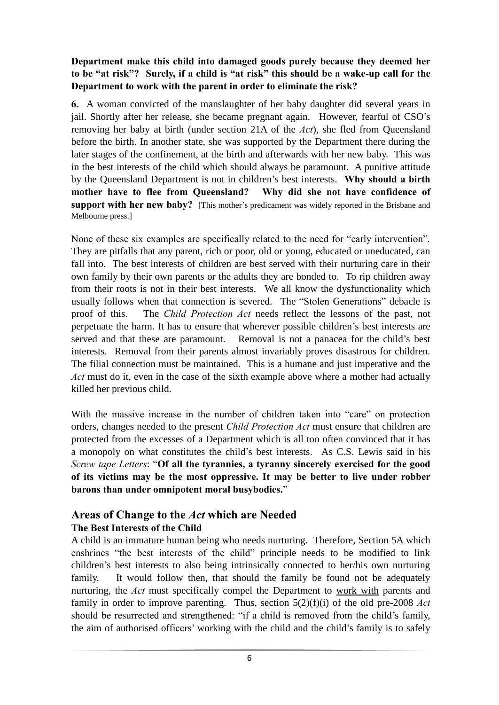## **Department make this child into damaged goods purely because they deemed her to be "at risk"? Surely, if a child is "at risk" this should be a wake-up call for the Department to work with the parent in order to eliminate the risk?**

**6.** A woman convicted of the manslaughter of her baby daughter did several years in jail. Shortly after her release, she became pregnant again. However, fearful of CSO's removing her baby at birth (under section 21A of the *Act*), she fled from Queensland before the birth. In another state, she was supported by the Department there during the later stages of the confinement, at the birth and afterwards with her new baby. This was in the best interests of the child which should always be paramount. A punitive attitude by the Queensland Department is not in children's best interests. **Why should a birth mother have to flee from Queensland? Why did she not have confidence of support with her new baby?** [This mother's predicament was widely reported in the Brisbane and Melbourne press.]

None of these six examples are specifically related to the need for "early intervention". They are pitfalls that any parent, rich or poor, old or young, educated or uneducated, can fall into. The best interests of children are best served with their nurturing care in their own family by their own parents or the adults they are bonded to. To rip children away from their roots is not in their best interests. We all know the dysfunctionality which usually follows when that connection is severed. The "Stolen Generations" debacle is proof of this. The *Child Protection Act* needs reflect the lessons of the past, not perpetuate the harm. It has to ensure that wherever possible children's best interests are served and that these are paramount. Removal is not a panacea for the child's best interests. Removal from their parents almost invariably proves disastrous for children. The filial connection must be maintained. This is a humane and just imperative and the *Act* must do it, even in the case of the sixth example above where a mother had actually killed her previous child.

With the massive increase in the number of children taken into "care" on protection orders, changes needed to the present *Child Protection Act* must ensure that children are protected from the excesses of a Department which is all too often convinced that it has a monopoly on what constitutes the child's best interests. As C.S. Lewis said in his *Screw tape Letters*: "**Of all the tyrannies, a tyranny sincerely exercised for the good of its victims may be the most oppressive. It may be better to live under robber barons than under omnipotent moral busybodies.**"

## **Areas of Change to the** *Act* **which are Needed The Best Interests of the Child**

A child is an immature human being who needs nurturing. Therefore, Section 5A which enshrines "the best interests of the child" principle needs to be modified to link children's best interests to also being intrinsically connected to her/his own nurturing family. It would follow then, that should the family be found not be adequately nurturing, the *Act* must specifically compel the Department to work with parents and family in order to improve parenting. Thus, section 5(2)(f)(i) of the old pre-2008 *Act*  should be resurrected and strengthened: "if a child is removed from the child's family, the aim of authorised officers' working with the child and the child's family is to safely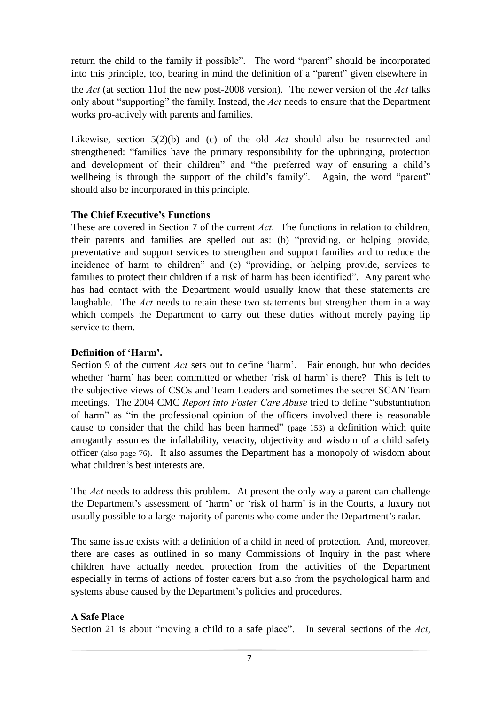return the child to the family if possible". The word "parent" should be incorporated into this principle, too, bearing in mind the definition of a "parent" given elsewhere in

the *Act* (at section 11of the new post-2008 version). The newer version of the *Act* talks only about "supporting" the family. Instead, the *Act* needs to ensure that the Department works pro-actively with parents and families.

Likewise, section 5(2)(b) and (c) of the old *Act* should also be resurrected and strengthened: "families have the primary responsibility for the upbringing, protection and development of their children" and "the preferred way of ensuring a child's wellbeing is through the support of the child's family". Again, the word "parent" should also be incorporated in this principle.

## **The Chief Executive's Functions**

These are covered in Section 7 of the current *Act*. The functions in relation to children, their parents and families are spelled out as: (b) "providing, or helping provide, preventative and support services to strengthen and support families and to reduce the incidence of harm to children" and (c) "providing, or helping provide, services to families to protect their children if a risk of harm has been identified". Any parent who has had contact with the Department would usually know that these statements are laughable. The *Act* needs to retain these two statements but strengthen them in a way which compels the Department to carry out these duties without merely paying lip service to them.

## **Definition of 'Harm'.**

Section 9 of the current *Act* sets out to define 'harm'. Fair enough, but who decides whether 'harm' has been committed or whether 'risk of harm' is there? This is left to the subjective views of CSOs and Team Leaders and sometimes the secret SCAN Team meetings. The 2004 CMC *Report into Foster Care Abuse* tried to define "substantiation of harm" as "in the professional opinion of the officers involved there is reasonable cause to consider that the child has been harmed" (page 153) a definition which quite arrogantly assumes the infallability, veracity, objectivity and wisdom of a child safety officer (also page 76). It also assumes the Department has a monopoly of wisdom about what children's best interests are.

The *Act* needs to address this problem. At present the only way a parent can challenge the Department's assessment of 'harm' or 'risk of harm' is in the Courts, a luxury not usually possible to a large majority of parents who come under the Department's radar.

The same issue exists with a definition of a child in need of protection. And, moreover, there are cases as outlined in so many Commissions of Inquiry in the past where children have actually needed protection from the activities of the Department especially in terms of actions of foster carers but also from the psychological harm and systems abuse caused by the Department's policies and procedures.

## **A Safe Place**

Section 21 is about "moving a child to a safe place". In several sections of the *Act*,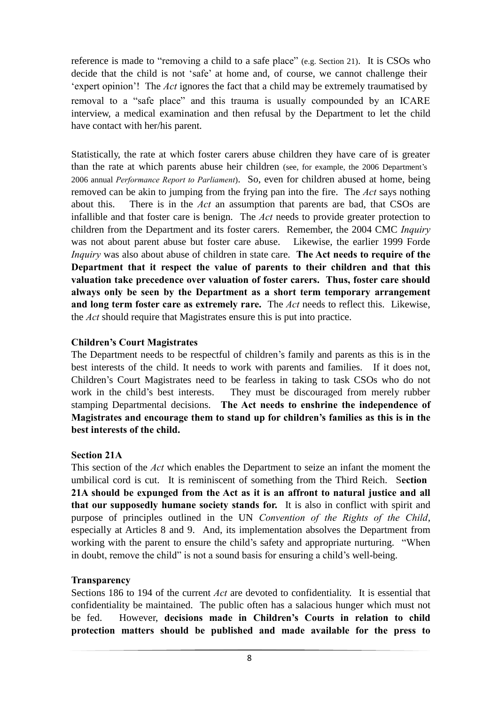reference is made to "removing a child to a safe place" (e.g. Section 21). It is CSOs who decide that the child is not 'safe' at home and, of course, we cannot challenge their 'expert opinion'! The *Act* ignores the fact that a child may be extremely traumatised by removal to a "safe place" and this trauma is usually compounded by an ICARE interview, a medical examination and then refusal by the Department to let the child have contact with her/his parent.

Statistically, the rate at which foster carers abuse children they have care of is greater than the rate at which parents abuse heir children (see, for example, the 2006 Department's 2006 annual *Performance Report to Parliament*). So, even for children abused at home, being removed can be akin to jumping from the frying pan into the fire. The *Act* says nothing about this. There is in the *Act* an assumption that parents are bad, that CSOs are infallible and that foster care is benign. The *Act* needs to provide greater protection to children from the Department and its foster carers. Remember, the 2004 CMC *Inquiry*  was not about parent abuse but foster care abuse. Likewise, the earlier 1999 Forde *Inquiry* was also about abuse of children in state care. **The Act needs to require of the Department that it respect the value of parents to their children and that this valuation take precedence over valuation of foster carers. Thus, foster care should always only be seen by the Department as a short term temporary arrangement and long term foster care as extremely rare.** The *Act* needs to reflect this. Likewise, the *Act* should require that Magistrates ensure this is put into practice.

## **Children's Court Magistrates**

The Department needs to be respectful of children's family and parents as this is in the best interests of the child. It needs to work with parents and families. If it does not, Children's Court Magistrates need to be fearless in taking to task CSOs who do not work in the child's best interests. They must be discouraged from merely rubber stamping Departmental decisions. **The Act needs to enshrine the independence of Magistrates and encourage them to stand up for children's families as this is in the best interests of the child.**

## **Section 21A**

This section of the *Act* which enables the Department to seize an infant the moment the umbilical cord is cut. It is reminiscent of something from the Third Reich. S**ection 21A should be expunged from the Act as it is an affront to natural justice and all that our supposedly humane society stands for.** It is also in conflict with spirit and purpose of principles outlined in the UN *Convention of the Rights of the Child*, especially at Articles 8 and 9. And, its implementation absolves the Department from working with the parent to ensure the child's safety and appropriate nurturing. "When in doubt, remove the child" is not a sound basis for ensuring a child's well-being.

## **Transparency**

Sections 186 to 194 of the current *Act* are devoted to confidentiality. It is essential that confidentiality be maintained. The public often has a salacious hunger which must not be fed. However, **decisions made in Children's Courts in relation to child protection matters should be published and made available for the press to**